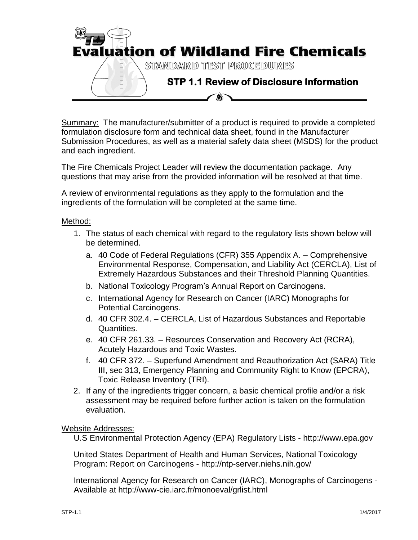

Summary: The manufacturer/submitter of a product is required to provide a completed formulation disclosure form and technical data sheet, found in the Manufacturer Submission Procedures, as well as a material safety data sheet (MSDS) for the product and each ingredient.

The Fire Chemicals Project Leader will review the documentation package. Any questions that may arise from the provided information will be resolved at that time.

A review of environmental regulations as they apply to the formulation and the ingredients of the formulation will be completed at the same time.

## Method:

- 1. The status of each chemical with regard to the regulatory lists shown below will be determined.
	- a. 40 Code of Federal Regulations (CFR) 355 Appendix A. Comprehensive Environmental Response, Compensation, and Liability Act (CERCLA), List of Extremely Hazardous Substances and their Threshold Planning Quantities.
	- b. National Toxicology Program's Annual Report on Carcinogens.
	- c. International Agency for Research on Cancer (IARC) Monographs for Potential Carcinogens.
	- d. 40 CFR 302.4. CERCLA, List of Hazardous Substances and Reportable Quantities.
	- e. 40 CFR 261.33. Resources Conservation and Recovery Act (RCRA), Acutely Hazardous and Toxic Wastes.
	- f. 40 CFR 372. Superfund Amendment and Reauthorization Act (SARA) Title III, sec 313, Emergency Planning and Community Right to Know (EPCRA), Toxic Release Inventory (TRI).
- 2. If any of the ingredients trigger concern, a basic chemical profile and/or a risk assessment may be required before further action is taken on the formulation evaluation.

## Website Addresses:

U.S Environmental Protection Agency (EPA) Regulatory Lists - http://www.epa.gov

United States Department of Health and Human Services, National Toxicology Program: Report on Carcinogens - http://ntp-server.niehs.nih.gov/

International Agency for Research on Cancer (IARC), Monographs of Carcinogens - Available at http://www-cie.iarc.fr/monoeval/grlist.html